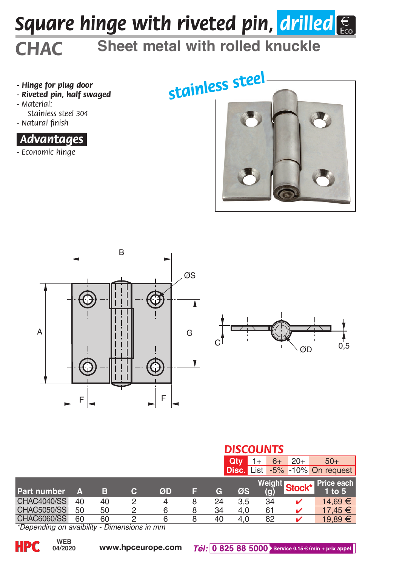# *Square hinge with riveted pin, drilled*

### *CHAC* **Sheet metal with rolled knuckle**

- *Hinge for plug door*
- *Riveted pin, half swaged*
- *Material: Stainless steel 304*
- *Natural finish*



*- Economic hinge*









|                           |         |           |   |    |   | <b>DISCOUNTS</b> |                   |  |               |        |                           |  |  |
|---------------------------|---------|-----------|---|----|---|------------------|-------------------|--|---------------|--------|---------------------------|--|--|
|                           |         |           |   |    |   |                  | Qtv               |  | $6+$          | $20+$  | $50+$                     |  |  |
|                           |         |           |   |    |   |                  | <b>Disc.</b> List |  |               |        | $-5\%$ $-10\%$ On request |  |  |
| <b>Part number</b>        | A       | в         | с | ØD | н | G                | ØS                |  | Weight<br>(g) | Stock* | Price each<br>$1$ to $5$  |  |  |
| <b>CHAC4040/SS</b>        | 40      | 40        | 2 | 4  | 8 | 24               | 3.5               |  | 34            |        | 14.69 €                   |  |  |
| <b>CHAC5050/SS</b>        | 50      | 50        |   | 6  | 8 | 34               | 4.0               |  | 61            |        | 17.45 €                   |  |  |
| <b>CHAC6060/SS</b><br>$-$ | 60<br>. | 60<br>- - | ◠ | 6  | 8 | 40               | 4.0               |  | 82            |        | 19,89 €                   |  |  |

*\*Depending on avaibility - Dimensions in mm*

**04/2020**

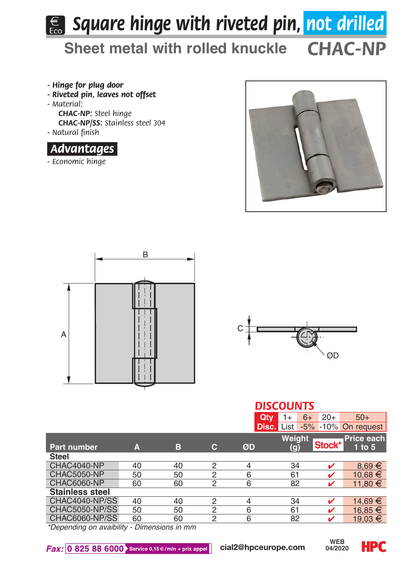## **E.** Square hinge with riveted pin, not drilled

*CHAC-NP* **Sheet metal with rolled knuckle**

- *Hinge for plug door*
- *Riveted pin, leaves not offset*
- *Material:*

*CHAC-NP: Steel hinge CHAC-NP/SS: Stainless steel 304*

*- Natural finish*



*- Economic hinge*







|                             |    |                  | <b>DISCOUNTS</b> |                |                   |               |                                 |  |  |  |  |
|-----------------------------|----|------------------|------------------|----------------|-------------------|---------------|---------------------------------|--|--|--|--|
|                             |    |                  |                  | Qtv            | 1+                | $20+$<br>$6+$ | $50+$                           |  |  |  |  |
|                             |    |                  |                  |                | <b>Disc.</b> List |               | $-5\%$ -10% On request          |  |  |  |  |
| <b>Part number</b>          | A  | в                | c                | ØD             | Weiaht<br>(g)     | Stock*        | <b>Price each</b><br>$1$ to $5$ |  |  |  |  |
| <b>Steel</b>                |    |                  |                  |                |                   |               |                                 |  |  |  |  |
| CHAC4040-NP                 | 40 | 40               | $\overline{2}$   | $\overline{4}$ | 34                |               | $8.69 \in$                      |  |  |  |  |
| <b>CHAC5050-NP</b>          | 50 | 50               | $\overline{2}$   | 6              | 61                |               | 10.68 €                         |  |  |  |  |
| <b>CHAC6060-NP</b>          | 60 | 60               | $\overline{2}$   | 6              | 82                | ✓             | $11.80 \in$                     |  |  |  |  |
| <b>Stainless steel</b>      |    |                  |                  |                |                   |               |                                 |  |  |  |  |
| CHAC4040-NP/SS              | 40 | 40               | $\overline{2}$   | $\overline{4}$ | 34                | ✓             | 14.69 €                         |  |  |  |  |
| <b>CHAC5050-NP/SS</b>       | 50 | 50               | $\overline{2}$   | 6              | 61                |               | 16.85 €                         |  |  |  |  |
| <b>CHAC6060-NP/SS</b>       | 60 | 60               | $\overline{2}$   | 6              | 82                | ັ             | 19.03 €                         |  |  |  |  |
| $*$ Danandina an avaihility |    | Dimensione in mm |                  |                |                   |               |                                 |  |  |  |  |

*\*Depending on avaibility - Dimensions in mm*